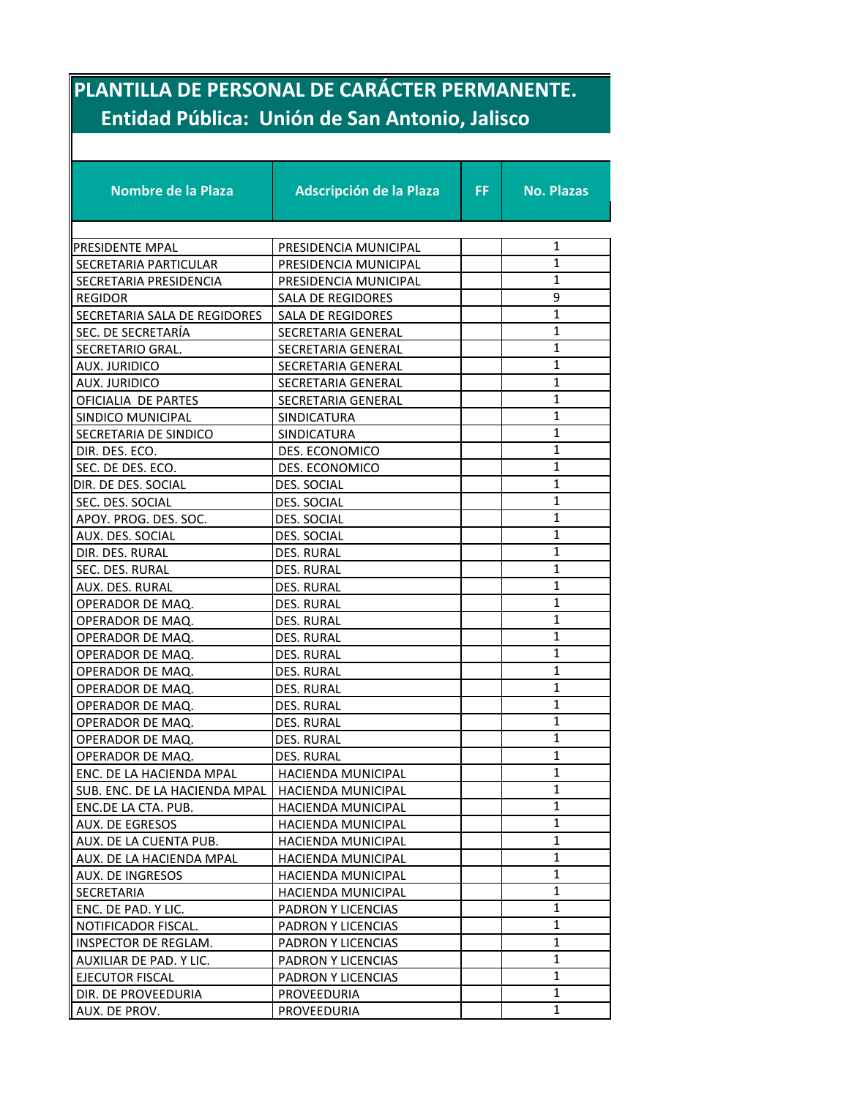## **PLANTILLA DE PERSONAL DE CARÁCTER PERMANENTE. Entidad Pública: Unión de San Antonio, Jalisco**

| <b>Nombre de la Plaza</b>     | Adscripción de la Plaza   | FF. | <b>No. Plazas</b> |
|-------------------------------|---------------------------|-----|-------------------|
|                               |                           |     |                   |
| PRESIDENTE MPAL               | PRESIDENCIA MUNICIPAL     |     | 1                 |
| SECRETARIA PARTICULAR         | PRESIDENCIA MUNICIPAL     |     | $\mathbf{1}$      |
| SECRETARIA PRESIDENCIA        | PRESIDENCIA MUNICIPAL     |     | $\mathbf{1}$      |
| <b>REGIDOR</b>                | SALA DE REGIDORES         |     | 9                 |
| SECRETARIA SALA DE REGIDORES  | SALA DE REGIDORES         |     | $\mathbf{1}$      |
| SEC. DE SECRETARÍA            | SECRETARIA GENERAL        |     | $\mathbf{1}$      |
| SECRETARIO GRAL.              | SECRETARIA GENERAL        |     | 1                 |
| AUX. JURIDICO                 | SECRETARIA GENERAL        |     | $\mathbf{1}$      |
| <b>AUX. JURIDICO</b>          | SECRETARIA GENERAL        |     | $\mathbf{1}$      |
| OFICIALIA DE PARTES           | SECRETARIA GENERAL        |     | 1                 |
| SINDICO MUNICIPAL             | <b>SINDICATURA</b>        |     | $\mathbf{1}$      |
| SECRETARIA DE SINDICO         | <b>SINDICATURA</b>        |     | $\mathbf{1}$      |
| DIR. DES. ECO.                | DES. ECONOMICO            |     | 1                 |
| SEC. DE DES. ECO.             | DES. ECONOMICO            |     | $\mathbf{1}$      |
| DIR. DE DES. SOCIAL           | <b>DES. SOCIAL</b>        |     | $\mathbf{1}$      |
| SEC. DES. SOCIAL              | DES. SOCIAL               |     | $\mathbf{1}$      |
| APOY. PROG. DES. SOC.         | DES. SOCIAL               |     | $\mathbf{1}$      |
| AUX. DES. SOCIAL              | DES. SOCIAL               |     | $\mathbf{1}$      |
| DIR. DES. RURAL               | <b>DES. RURAL</b>         |     | 1                 |
| SEC. DES. RURAL               | <b>DES. RURAL</b>         |     | $\mathbf{1}$      |
| AUX. DES. RURAL               | DES. RURAL                |     | $\mathbf{1}$      |
| OPERADOR DE MAQ.              | DES. RURAL                |     | 1                 |
| OPERADOR DE MAQ.              | DES. RURAL                |     | $\mathbf{1}$      |
| OPERADOR DE MAQ.              | <b>DES. RURAL</b>         |     | $\mathbf{1}$      |
| OPERADOR DE MAQ.              | DES. RURAL                |     | $\mathbf{1}$      |
| OPERADOR DE MAQ.              | DES. RURAL                |     | $\mathbf{1}$      |
| OPERADOR DE MAQ.              | DES. RURAL                |     | $\mathbf{1}$      |
| OPERADOR DE MAQ.              | DES. RURAL                |     | $\mathbf{1}$      |
| OPERADOR DE MAQ.              | DES. RURAL                |     | $\mathbf{1}$      |
| OPERADOR DE MAQ.              | DES. RURAL                |     | $\mathbf{1}$      |
| OPERADOR DE MAQ.              | DES. RURAL                |     | $\mathbf{1}$      |
| ENC. DE LA HACIENDA MPAL      | <b>HACIENDA MUNICIPAL</b> |     | 1                 |
| SUB. ENC. DE LA HACIENDA MPAL | HACIENDA MUNICIPAL        |     | 1                 |
| ENC.DE LA CTA. PUB.           | HACIENDA MUNICIPAL        |     | $\mathbf{1}$      |
| AUX. DE EGRESOS               | <b>HACIENDA MUNICIPAL</b> |     | 1                 |
| AUX. DE LA CUENTA PUB.        | <b>HACIENDA MUNICIPAL</b> |     | 1                 |
| AUX. DE LA HACIENDA MPAL      | HACIENDA MUNICIPAL        |     | 1                 |
| AUX. DE INGRESOS              | <b>HACIENDA MUNICIPAL</b> |     | 1                 |
| SECRETARIA                    | <b>HACIENDA MUNICIPAL</b> |     | $\mathbf{1}$      |
| ENC. DE PAD. Y LIC.           | PADRON Y LICENCIAS        |     | 1                 |
| NOTIFICADOR FISCAL.           | PADRON Y LICENCIAS        |     | $\mathbf{1}$      |
| INSPECTOR DE REGLAM.          | PADRON Y LICENCIAS        |     | $\mathbf{1}$      |
| AUXILIAR DE PAD. Y LIC.       | PADRON Y LICENCIAS        |     | $\mathbf{1}$      |
| EJECUTOR FISCAL               | PADRON Y LICENCIAS        |     | 1                 |
| DIR. DE PROVEEDURIA           | PROVEEDURIA               |     | $\mathbf{1}$      |
| AUX. DE PROV.                 | PROVEEDURIA               |     | $\mathbf{1}$      |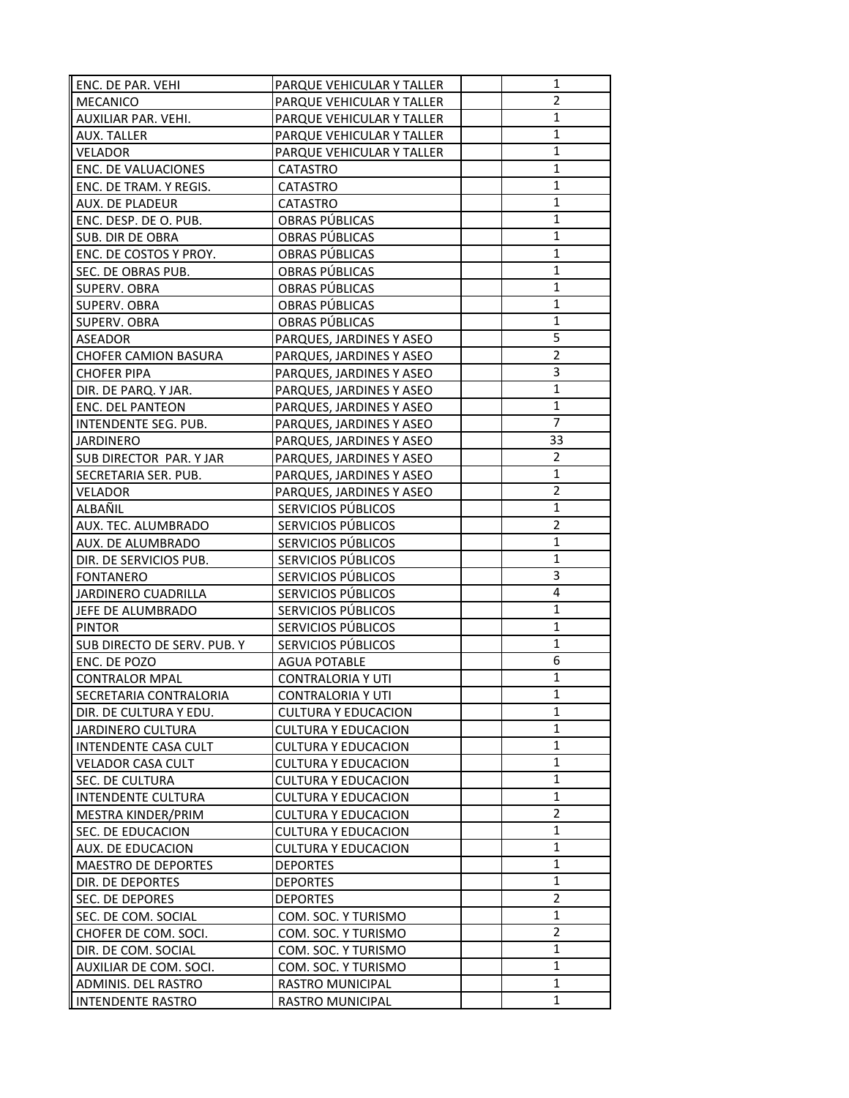| ENC. DE PAR. VEHI           | PARQUE VEHICULAR Y TALLER  | 1              |
|-----------------------------|----------------------------|----------------|
| <b>MECANICO</b>             | PARQUE VEHICULAR Y TALLER  | $\overline{2}$ |
| AUXILIAR PAR. VEHI.         | PARQUE VEHICULAR Y TALLER  | $\mathbf{1}$   |
| AUX. TALLER                 | PARQUE VEHICULAR Y TALLER  | $\mathbf{1}$   |
| VELADOR                     | PARQUE VEHICULAR Y TALLER  | $\mathbf{1}$   |
| ENC. DE VALUACIONES         | <b>CATASTRO</b>            | 1              |
| ENC. DE TRAM. Y REGIS.      | <b>CATASTRO</b>            | $\mathbf{1}$   |
| AUX. DE PLADEUR             | <b>CATASTRO</b>            | $\mathbf{1}$   |
| ENC. DESP. DE O. PUB.       | OBRAS PÚBLICAS             | $\mathbf{1}$   |
| SUB. DIR DE OBRA            | OBRAS PÚBLICAS             | 1              |
| ENC. DE COSTOS Y PROY.      | OBRAS PÚBLICAS             | $\mathbf{1}$   |
| SEC. DE OBRAS PUB.          | OBRAS PÚBLICAS             | $\mathbf{1}$   |
| SUPERV. OBRA                | OBRAS PÚBLICAS             | 1              |
| SUPERV. OBRA                | OBRAS PÚBLICAS             | $\mathbf{1}$   |
| SUPERV. OBRA                | OBRAS PÚBLICAS             | 1              |
| ASEADOR                     | PARQUES, JARDINES Y ASEO   | 5              |
| <b>CHOFER CAMION BASURA</b> | PARQUES, JARDINES Y ASEO   | $\overline{2}$ |
| CHOFER PIPA                 | PARQUES, JARDINES Y ASEO   | 3              |
| DIR. DE PARQ. Y JAR.        | PARQUES, JARDINES Y ASEO   | 1              |
| ENC. DEL PANTEON            | PARQUES, JARDINES Y ASEO   | $\mathbf{1}$   |
| INTENDENTE SEG. PUB.        | PARQUES, JARDINES Y ASEO   | $\overline{7}$ |
| <b>JARDINERO</b>            | PARQUES, JARDINES Y ASEO   | 33             |
| SUB DIRECTOR PAR. Y JAR     | PARQUES, JARDINES Y ASEO   | 2              |
| SECRETARIA SER. PUB.        | PARQUES, JARDINES Y ASEO   | $\mathbf{1}$   |
| VELADOR                     | PARQUES, JARDINES Y ASEO   | 2              |
| ALBAÑIL                     | SERVICIOS PÚBLICOS         | $\mathbf{1}$   |
| AUX. TEC. ALUMBRADO         | SERVICIOS PÚBLICOS         | $\overline{2}$ |
| AUX. DE ALUMBRADO           | SERVICIOS PÚBLICOS         | 1              |
| DIR. DE SERVICIOS PUB.      | SERVICIOS PÚBLICOS         | $\mathbf{1}$   |
| <b>FONTANERO</b>            | SERVICIOS PÚBLICOS         | 3              |
| <b>JARDINERO CUADRILLA</b>  | SERVICIOS PÚBLICOS         | 4              |
| JEFE DE ALUMBRADO           | SERVICIOS PÚBLICOS         | 1              |
| <b>PINTOR</b>               | SERVICIOS PÚBLICOS         | $\mathbf{1}$   |
| SUB DIRECTO DE SERV. PUB. Y | SERVICIOS PÚBLICOS         | 1              |
| ENC. DE POZO                | <b>AGUA POTABLE</b>        | 6              |
| <b>CONTRALOR MPAL</b>       | <b>CONTRALORIA Y UTI</b>   | $\mathbf{1}$   |
| SECRETARIA CONTRALORIA      | <b>CONTRALORIA Y UTI</b>   | $\mathbf 1$    |
| DIR. DE CULTURA Y EDU.      | <b>CULTURA Y EDUCACION</b> | 1              |
| JARDINERO CULTURA           | <b>CULTURA Y EDUCACION</b> | 1              |
| INTENDENTE CASA CULT        | <b>CULTURA Y EDUCACION</b> | $\mathbf{1}$   |
| <b>VELADOR CASA CULT</b>    | <b>CULTURA Y EDUCACION</b> | 1              |
| SEC. DE CULTURA             | <b>CULTURA Y EDUCACION</b> | $\mathbf{1}$   |
| INTENDENTE CULTURA          | <b>CULTURA Y EDUCACION</b> | $\mathbf{1}$   |
| MESTRA KINDER/PRIM          | <b>CULTURA Y EDUCACION</b> | 2              |
| SEC. DE EDUCACION           | <b>CULTURA Y EDUCACION</b> | $\mathbf{1}$   |
| AUX. DE EDUCACION           | <b>CULTURA Y EDUCACION</b> | $\mathbf{1}$   |
| <b>MAESTRO DE DEPORTES</b>  | <b>DEPORTES</b>            | 1              |
| DIR. DE DEPORTES            | <b>DEPORTES</b>            | $\mathbf{1}$   |
| SEC. DE DEPORES             | <b>DEPORTES</b>            | $\overline{2}$ |
| SEC. DE COM. SOCIAL         | COM. SOC. Y TURISMO        | $\mathbf{1}$   |
| CHOFER DE COM. SOCI.        | COM. SOC. Y TURISMO        | $\overline{2}$ |
| DIR. DE COM. SOCIAL         | COM. SOC. Y TURISMO        | $\mathbf{1}$   |
| AUXILIAR DE COM. SOCI.      | COM. SOC. Y TURISMO        | 1              |
| ADMINIS. DEL RASTRO         | RASTRO MUNICIPAL           | $\mathbf{1}$   |
| <b>INTENDENTE RASTRO</b>    | RASTRO MUNICIPAL           | 1              |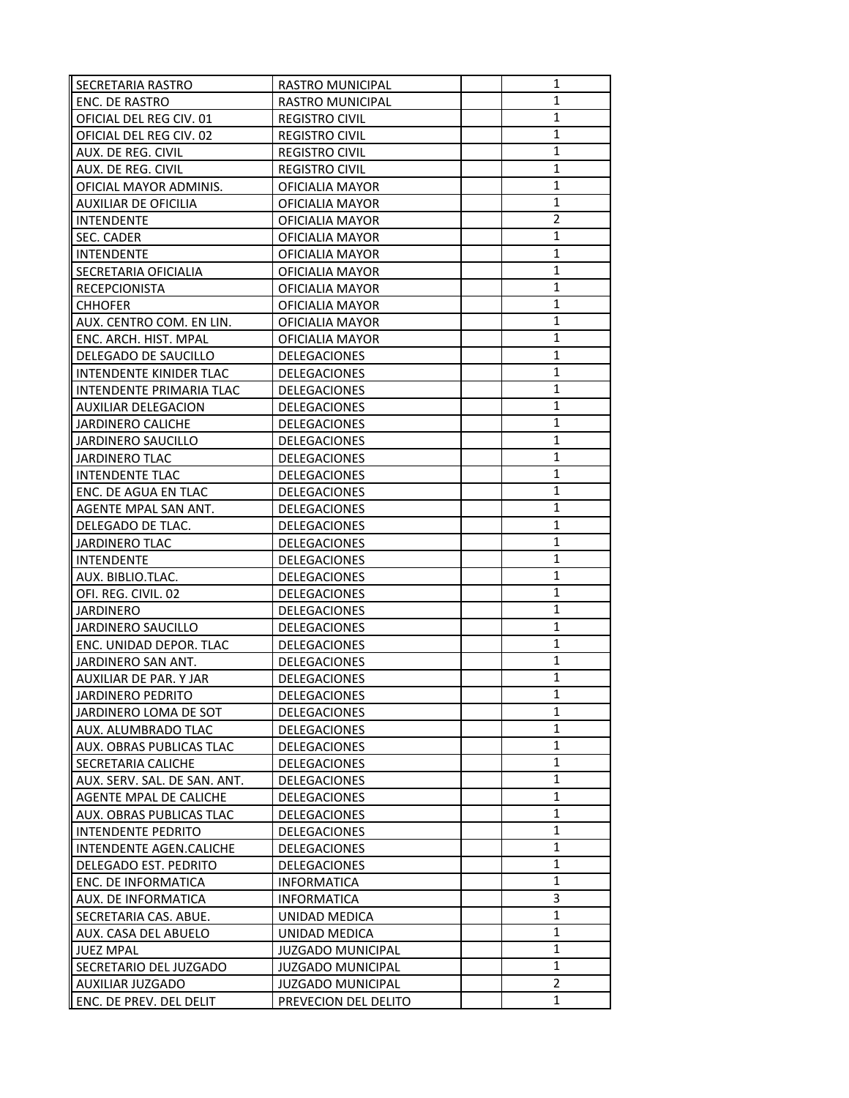| SECRETARIA RASTRO            | <b>RASTRO MUNICIPAL</b>  | 1              |
|------------------------------|--------------------------|----------------|
| ENC. DE RASTRO               | RASTRO MUNICIPAL         | 1              |
| OFICIAL DEL REG CIV. 01      | <b>REGISTRO CIVIL</b>    | $\mathbf{1}$   |
| OFICIAL DEL REG CIV. 02      | <b>REGISTRO CIVIL</b>    | 1              |
| AUX. DE REG. CIVIL           | <b>REGISTRO CIVIL</b>    | 1              |
| AUX. DE REG. CIVIL           | <b>REGISTRO CIVIL</b>    | $\mathbf{1}$   |
| OFICIAL MAYOR ADMINIS.       | OFICIALIA MAYOR          | $\mathbf{1}$   |
| <b>AUXILIAR DE OFICILIA</b>  | OFICIALIA MAYOR          | 1              |
| <b>INTENDENTE</b>            | OFICIALIA MAYOR          | $\overline{2}$ |
| SEC. CADER                   | OFICIALIA MAYOR          | 1              |
| <b>INTENDENTE</b>            | OFICIALIA MAYOR          | $\mathbf{1}$   |
| SECRETARIA OFICIALIA         | OFICIALIA MAYOR          | 1              |
| <b>RECEPCIONISTA</b>         | OFICIALIA MAYOR          | $\mathbf{1}$   |
| <b>CHHOFER</b>               | OFICIALIA MAYOR          | 1              |
| AUX. CENTRO COM. EN LIN.     | OFICIALIA MAYOR          | $\mathbf{1}$   |
| ENC. ARCH. HIST. MPAL        | OFICIALIA MAYOR          | $\mathbf{1}$   |
| DELEGADO DE SAUCILLO         | DELEGACIONES             | $\mathbf{1}$   |
| INTENDENTE KINIDER TLAC      | DELEGACIONES             | 1              |
| INTENDENTE PRIMARIA TLAC     | DELEGACIONES             | $\mathbf{1}$   |
| <b>AUXILIAR DELEGACION</b>   | DELEGACIONES             | $\mathbf{1}$   |
| <b>JARDINERO CALICHE</b>     | DELEGACIONES             | $\mathbf{1}$   |
| JARDINERO SAUCILLO           | <b>DELEGACIONES</b>      | $\mathbf{1}$   |
| <b>JARDINERO TLAC</b>        | <b>DELEGACIONES</b>      | $\mathbf{1}$   |
| <b>INTENDENTE TLAC</b>       | DELEGACIONES             | $\mathbf{1}$   |
| ENC. DE AGUA EN TLAC         | DELEGACIONES             | $\mathbf{1}$   |
| AGENTE MPAL SAN ANT.         | DELEGACIONES             | $\mathbf{1}$   |
| DELEGADO DE TLAC.            | DELEGACIONES             | $\mathbf{1}$   |
| JARDINERO TLAC               | <b>DELEGACIONES</b>      | $\mathbf{1}$   |
| <b>INTENDENTE</b>            | DELEGACIONES             | 1              |
| AUX. BIBLIO.TLAC.            | DELEGACIONES             | $\mathbf{1}$   |
| OFI. REG. CIVIL. 02          | DELEGACIONES             | $\mathbf{1}$   |
| <b>JARDINERO</b>             | DELEGACIONES             | $\mathbf{1}$   |
| JARDINERO SAUCILLO           | DELEGACIONES             | 1              |
| ENC. UNIDAD DEPOR. TLAC      | <b>DELEGACIONES</b>      | $\mathbf{1}$   |
| JARDINERO SAN ANT.           | <b>DELEGACIONES</b>      | $\mathbf{1}$   |
| AUXILIAR DE PAR. Y JAR       | DELEGACIONES             | $\mathbf{1}$   |
| JARDINERO PEDRITO            | DELEGACIONES             | $\mathbf{1}$   |
| JARDINERO LOMA DE SOT        | DELEGACIONES             | 1              |
| AUX. ALUMBRADO TLAC          | DELEGACIONES             | 1              |
| AUX. OBRAS PUBLICAS TLAC     | DELEGACIONES             | $\mathbf{1}$   |
| SECRETARIA CALICHE           | <b>DELEGACIONES</b>      | 1              |
| AUX. SERV. SAL. DE SAN. ANT. | <b>DELEGACIONES</b>      | 1              |
| AGENTE MPAL DE CALICHE       | <b>DELEGACIONES</b>      | 1              |
| AUX. OBRAS PUBLICAS TLAC     | <b>DELEGACIONES</b>      | $\mathbf{1}$   |
| <b>INTENDENTE PEDRITO</b>    | DELEGACIONES             | 1              |
| INTENDENTE AGEN.CALICHE      | <b>DELEGACIONES</b>      | $\mathbf{1}$   |
| DELEGADO EST. PEDRITO        | <b>DELEGACIONES</b>      | $\mathbf{1}$   |
| ENC. DE INFORMATICA          | <b>INFORMATICA</b>       | 1              |
| AUX. DE INFORMATICA          | <b>INFORMATICA</b>       | 3              |
| SECRETARIA CAS. ABUE.        | UNIDAD MEDICA            | $\mathbf 1$    |
| AUX. CASA DEL ABUELO         | UNIDAD MEDICA            | 1              |
| <b>JUEZ MPAL</b>             | <b>JUZGADO MUNICIPAL</b> | 1              |
| SECRETARIO DEL JUZGADO       | <b>JUZGADO MUNICIPAL</b> | $\mathbf{1}$   |
| AUXILIAR JUZGADO             | <b>JUZGADO MUNICIPAL</b> | $\overline{2}$ |
| ENC. DE PREV. DEL DELIT      | PREVECION DEL DELITO     | 1              |